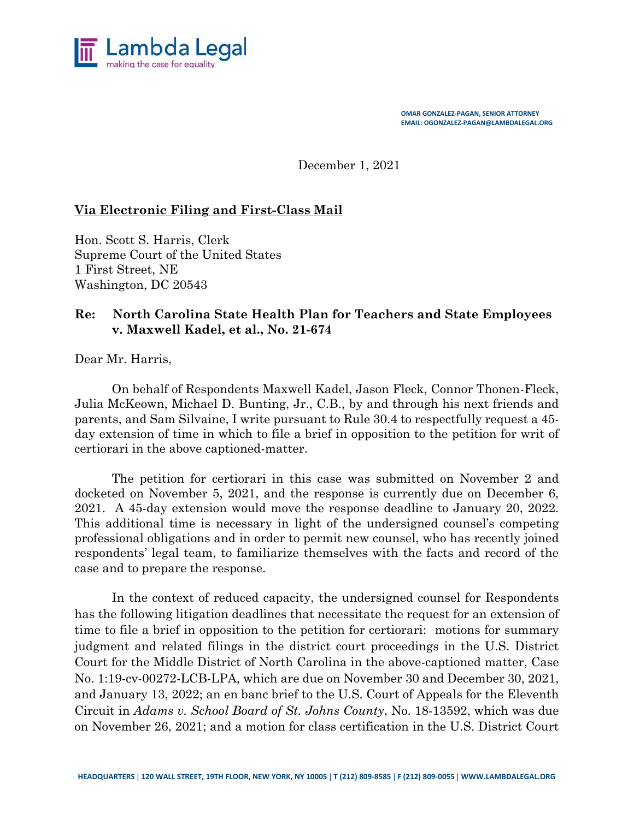

**OMAR GONZALEZ-PAGAN, SENIOR ATTORNEY EMAIL: OGONZALEZ-PAGAN@LAMBDALEGAL.ORG**

December 1, 2021

## **Via Electronic Filing and First-Class Mail**

Hon. Scott S. Harris, Clerk Supreme Court of the United States 1 First Street, NE Washington, DC 20543

## **Re: North Carolina State Health Plan for Teachers and State Employees v. Maxwell Kadel, et al., No. 21-674**

Dear Mr. Harris,

On behalf of Respondents Maxwell Kadel, Jason Fleck, Connor Thonen-Fleck, Julia McKeown, Michael D. Bunting, Jr., C.B., by and through his next friends and parents, and Sam Silvaine, I write pursuant to Rule 30.4 to respectfully request a 45 day extension of time in which to file a brief in opposition to the petition for writ of certiorari in the above captioned-matter.

The petition for certiorari in this case was submitted on November 2 and docketed on November 5, 2021, and the response is currently due on December 6, 2021. A 45-day extension would move the response deadline to January 20, 2022. This additional time is necessary in light of the undersigned counsel's competing professional obligations and in order to permit new counsel, who has recently joined respondents' legal team, to familiarize themselves with the facts and record of the case and to prepare the response.

In the context of reduced capacity, the undersigned counsel for Respondents has the following litigation deadlines that necessitate the request for an extension of time to file a brief in opposition to the petition for certiorari: motions for summary judgment and related filings in the district court proceedings in the U.S. District Court for the Middle District of North Carolina in the above-captioned matter, Case No. 1:19-cv-00272-LCB-LPA, which are due on November 30 and December 30, 2021, and January 13, 2022; an en banc brief to the U.S. Court of Appeals for the Eleventh Circuit in *Adams v. School Board of St. Johns County*, No. 18-13592, which was due on November 26, 2021; and a motion for class certification in the U.S. District Court